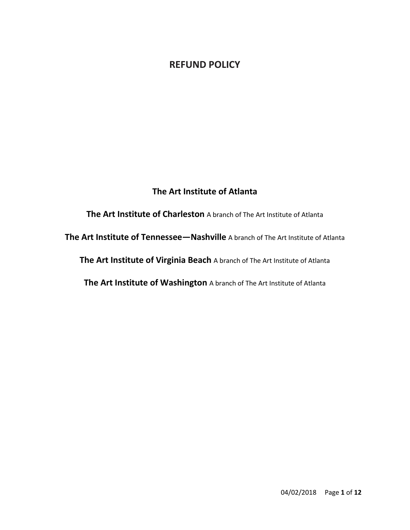# **REFUND POLICY**

# **The Art Institute of Atlanta**

**The Art Institute of Charleston** A branch of The Art Institute of Atlanta **The Art Institute of Tennessee—Nashville** A branch of The Art Institute of Atlanta **The Art Institute of Virginia Beach** A branch of The Art Institute of Atlanta **The Art Institute of Washington** A branch of The Art Institute of Atlanta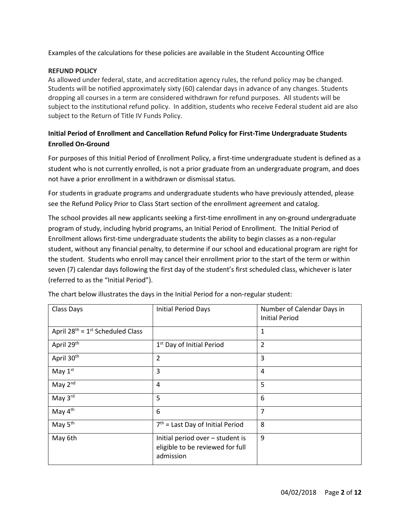Examples of the calculations for these policies are available in the Student Accounting Office

## **REFUND POLICY**

As allowed under federal, state, and accreditation agency rules, the refund policy may be changed. Students will be notified approximately sixty (60) calendar days in advance of any changes. Students dropping all courses in a term are considered withdrawn for refund purposes. All students will be subject to the institutional refund policy. In addition, students who receive Federal student aid are also subject to the Return of Title IV Funds Policy.

# **Initial Period of Enrollment and Cancellation Refund Policy for First-Time Undergraduate Students Enrolled On-Ground**

For purposes of this Initial Period of Enrollment Policy, a first-time undergraduate student is defined as a student who is not currently enrolled, is not a prior graduate from an undergraduate program, and does not have a prior enrollment in a withdrawn or dismissal status.

For students in graduate programs and undergraduate students who have previously attended, please see the Refund Policy Prior to Class Start section of the enrollment agreement and catalog.

The school provides all new applicants seeking a first-time enrollment in any on-ground undergraduate program of study, including hybrid programs, an Initial Period of Enrollment. The Initial Period of Enrollment allows first-time undergraduate students the ability to begin classes as a non-regular student, without any financial penalty, to determine if our school and educational program are right for the student. Students who enroll may cancel their enrollment prior to the start of the term or within seven (7) calendar days following the first day of the student's first scheduled class, whichever is later (referred to as the "Initial Period").

| Class Days                               | <b>Initial Period Days</b>                                                        | Number of Calendar Days in<br><b>Initial Period</b> |
|------------------------------------------|-----------------------------------------------------------------------------------|-----------------------------------------------------|
| April $28^{th} = 1^{st}$ Scheduled Class |                                                                                   | 1                                                   |
| April 29th                               | 1 <sup>st</sup> Day of Initial Period                                             | 2                                                   |
| April 30 <sup>th</sup>                   | 2                                                                                 | 3                                                   |
| May $1st$                                | 3                                                                                 | 4                                                   |
| May 2 <sup>nd</sup>                      | 4                                                                                 | 5                                                   |
| May 3rd                                  | 5                                                                                 | 6                                                   |
| May 4 <sup>th</sup>                      | 6                                                                                 | 7                                                   |
| May 5 <sup>th</sup>                      | $7th$ = Last Day of Initial Period                                                | 8                                                   |
| May 6th                                  | Initial period over - student is<br>eligible to be reviewed for full<br>admission | 9                                                   |

The chart below illustrates the days in the Initial Period for a non-regular student: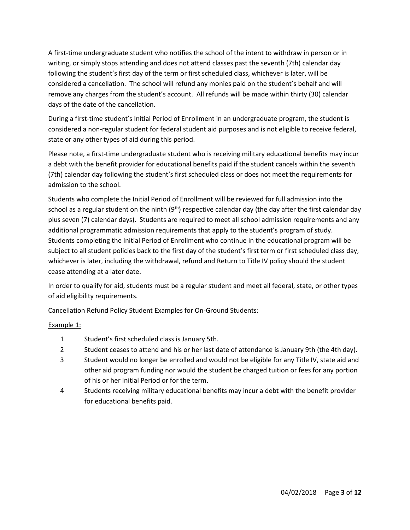A first-time undergraduate student who notifies the school of the intent to withdraw in person or in writing, or simply stops attending and does not attend classes past the seventh (7th) calendar day following the student's first day of the term or first scheduled class, whichever is later, will be considered a cancellation. The school will refund any monies paid on the student's behalf and will remove any charges from the student's account. All refunds will be made within thirty (30) calendar days of the date of the cancellation.

During a first-time student's Initial Period of Enrollment in an undergraduate program, the student is considered a non-regular student for federal student aid purposes and is not eligible to receive federal, state or any other types of aid during this period.

Please note, a first-time undergraduate student who is receiving military educational benefits may incur a debt with the benefit provider for educational benefits paid if the student cancels within the seventh (7th) calendar day following the student's first scheduled class or does not meet the requirements for admission to the school.

Students who complete the Initial Period of Enrollment will be reviewed for full admission into the school as a regular student on the ninth  $(9<sup>th</sup>)$  respective calendar day (the day after the first calendar day plus seven (7) calendar days). Students are required to meet all school admission requirements and any additional programmatic admission requirements that apply to the student's program of study. Students completing the Initial Period of Enrollment who continue in the educational program will be subject to all student policies back to the first day of the student's first term or first scheduled class day, whichever is later, including the withdrawal, refund and Return to Title IV policy should the student cease attending at a later date.

In order to qualify for aid, students must be a regular student and meet all federal, state, or other types of aid eligibility requirements.

Cancellation Refund Policy Student Examples for On-Ground Students:

Example 1:

- 1 Student's first scheduled class is January 5th.
- 2 Student ceases to attend and his or her last date of attendance is January 9th (the 4th day).
- 3 Student would no longer be enrolled and would not be eligible for any Title IV, state aid and other aid program funding nor would the student be charged tuition or fees for any portion of his or her Initial Period or for the term.
- 4 Students receiving military educational benefits may incur a debt with the benefit provider for educational benefits paid.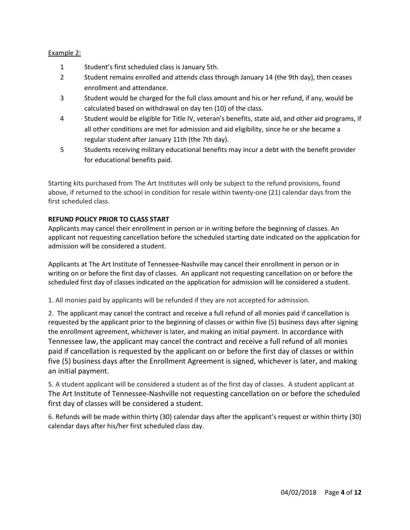# Example 2:

- 1 Student's first scheduled class is January 5th.
- 2 Student remains enrolled and attends class through January 14 (the 9th day), then ceases enrollment and attendance.
- 3 Student would be charged for the full class amount and his or her refund, if any, would be calculated based on withdrawal on day ten (10) of the class.
- 4 Student would be eligible for Title IV, veteran's benefits, state aid, and other aid programs, if all other conditions are met for admission and aid eligibility, since he or she became a regular student after January 11th (the 7th day).
- 5 Students receiving military educational benefits may incur a debt with the benefit provider for educational benefits paid.

Starting kits purchased from The Art Institutes will only be subject to the refund provisions, found above, if returned to the school in condition for resale within twenty-one (21) calendar days from the first scheduled class.

# **REFUND POLICY PRIOR TO CLASS START**

Applicants may cancel their enrollment in person or in writing before the beginning of classes. An applicant not requesting cancellation before the scheduled starting date indicated on the application for admission will be considered a student.

Applicants at The Art Institute of Tennessee-Nashville may cancel their enrollment in person or in writing on or before the first day of classes. An applicant not requesting cancellation on or before the scheduled first day of classes indicated on the application for admission will be considered a student.

1. All monies paid by applicants will be refunded if they are not accepted for admission.

2. The applicant may cancel the contract and receive a full refund of all monies paid if cancellation is requested by the applicant prior to the beginning of classes or within five (5) business days after signing the enrollment agreement, whichever is later, and making an initial payment. In accordance with Tennessee law, the applicant may cancel the contract and receive a full refund of all monies paid if cancellation is requested by the applicant on or before the first day of classes or within five (5) business days after the Enrollment Agreement is signed, whichever is later, and making an initial payment.

5. A student applicant will be considered a student as of the first day of classes. A student applicant at The Art Institute of Tennessee-Nashville not requesting cancellation on or before the scheduled first day of classes will be considered a student.

6. Refunds will be made within thirty (30) calendar days after the applicant's request or within thirty (30) calendar days after his/her first scheduled class day.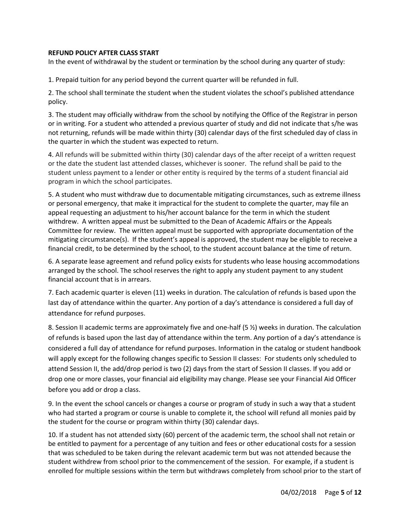# **REFUND POLICY AFTER CLASS START**

In the event of withdrawal by the student or termination by the school during any quarter of study:

1. Prepaid tuition for any period beyond the current quarter will be refunded in full.

2. The school shall terminate the student when the student violates the school's published attendance policy.

3. The student may officially withdraw from the school by notifying the Office of the Registrar in person or in writing. For a student who attended a previous quarter of study and did not indicate that s/he was not returning, refunds will be made within thirty (30) calendar days of the first scheduled day of class in the quarter in which the student was expected to return.

4. All refunds will be submitted within thirty (30) calendar days of the after receipt of a written request or the date the student last attended classes, whichever is sooner. The refund shall be paid to the student unless payment to a lender or other entity is required by the terms of a student financial aid program in which the school participates.

5. A student who must withdraw due to documentable mitigating circumstances, such as extreme illness or personal emergency, that make it impractical for the student to complete the quarter, may file an appeal requesting an adjustment to his/her account balance for the term in which the student withdrew. A written appeal must be submitted to the Dean of Academic Affairs or the Appeals Committee for review. The written appeal must be supported with appropriate documentation of the mitigating circumstance(s). If the student's appeal is approved, the student may be eligible to receive a financial credit, to be determined by the school, to the student account balance at the time of return.

6. A separate lease agreement and refund policy exists for students who lease housing accommodations arranged by the school. The school reserves the right to apply any student payment to any student financial account that is in arrears.

7. Each academic quarter is eleven (11) weeks in duration. The calculation of refunds is based upon the last day of attendance within the quarter. Any portion of a day's attendance is considered a full day of attendance for refund purposes.

8. Session II academic terms are approximately five and one-half (5 ½) weeks in duration. The calculation of refunds is based upon the last day of attendance within the term. Any portion of a day's attendance is considered a full day of attendance for refund purposes. Information in the catalog or student handbook will apply except for the following changes specific to Session II classes: For students only scheduled to attend Session II, the add/drop period is two (2) days from the start of Session II classes. If you add or drop one or more classes, your financial aid eligibility may change. Please see your Financial Aid Officer before you add or drop a class.

9. In the event the school cancels or changes a course or program of study in such a way that a student who had started a program or course is unable to complete it, the school will refund all monies paid by the student for the course or program within thirty (30) calendar days.

10. If a student has not attended sixty (60) percent of the academic term, the school shall not retain or be entitled to payment for a percentage of any tuition and fees or other educational costs for a session that was scheduled to be taken during the relevant academic term but was not attended because the student withdrew from school prior to the commencement of the session. For example, if a student is enrolled for multiple sessions within the term but withdraws completely from school prior to the start of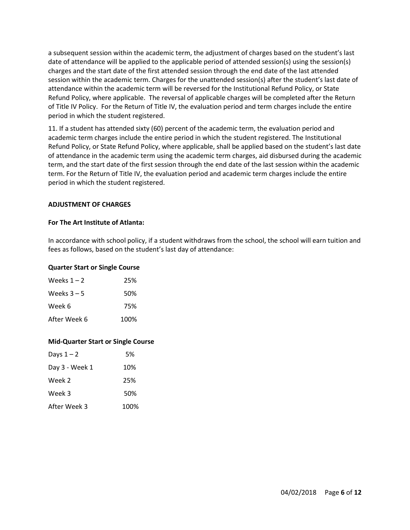a subsequent session within the academic term, the adjustment of charges based on the student's last date of attendance will be applied to the applicable period of attended session(s) using the session(s) charges and the start date of the first attended session through the end date of the last attended session within the academic term. Charges for the unattended session(s) after the student's last date of attendance within the academic term will be reversed for the Institutional Refund Policy, or State Refund Policy, where applicable. The reversal of applicable charges will be completed after the Return of Title IV Policy. For the Return of Title IV, the evaluation period and term charges include the entire period in which the student registered.

11. If a student has attended sixty (60) percent of the academic term, the evaluation period and academic term charges include the entire period in which the student registered. The Institutional Refund Policy, or State Refund Policy, where applicable, shall be applied based on the student's last date of attendance in the academic term using the academic term charges, aid disbursed during the academic term, and the start date of the first session through the end date of the last session within the academic term. For the Return of Title IV, the evaluation period and academic term charges include the entire period in which the student registered.

## **ADJUSTMENT OF CHARGES**

#### **For The Art Institute of Atlanta:**

In accordance with school policy, if a student withdraws from the school, the school will earn tuition and fees as follows, based on the student's last day of attendance:

#### **Quarter Start or Single Course**

| Weeks $1 - 2$ | 25%  |
|---------------|------|
| Weeks $3 - 5$ | 50%  |
| Week 6        | 75%  |
| After Week 6  | 100% |

## **Mid-Quarter Start or Single Course**

| Days $1 - 2$   | .5%  |
|----------------|------|
| Day 3 - Week 1 | 10%  |
| Week 2         | 25%  |
| Week 3         | 50%  |
| After Week 3   | 100% |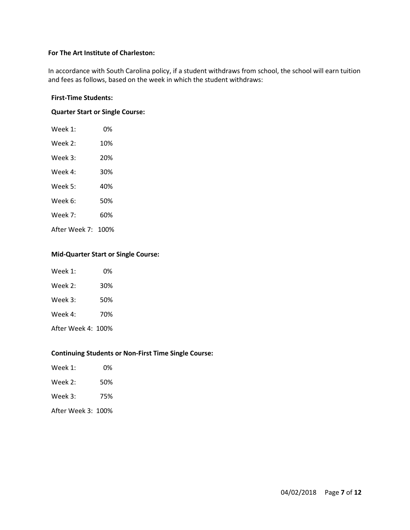## **For The Art Institute of Charleston:**

In accordance with South Carolina policy, if a student withdraws from school, the school will earn tuition and fees as follows, based on the week in which the student withdraws:

#### **First-Time Students:**

# **Quarter Start or Single Course:**

| Week 1:            | 0%  |
|--------------------|-----|
| Week 2:            | 10% |
| Week 3:            | 20% |
| Week 4:            | 30% |
| Week 5:            | 40% |
| Week 6:            | 50% |
| Week 7:            | 60% |
| After Week 7: 100% |     |

#### **Mid-Quarter Start or Single Course:**

| Week $1$ :         | 0%  |
|--------------------|-----|
| Week 2:            | 30% |
| Week 3:            | 50% |
| Week 4:            | 70% |
| After Week 4: 100% |     |

#### **Continuing Students or Non-First Time Single Course:**

| Week 1:            | 0%  |
|--------------------|-----|
| Week $2:$          | 50% |
| Week $3:$          | 75% |
| After Week 3: 100% |     |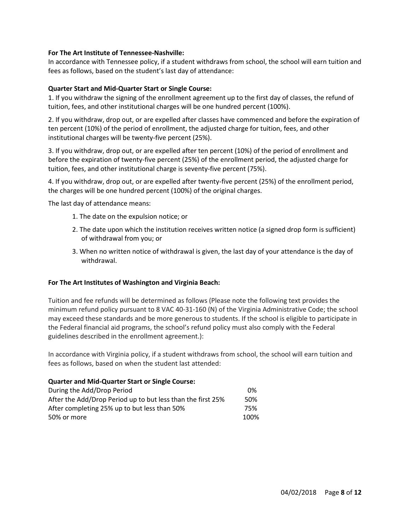#### **For The Art Institute of Tennessee-Nashville:**

In accordance with Tennessee policy, if a student withdraws from school, the school will earn tuition and fees as follows, based on the student's last day of attendance:

#### **Quarter Start and Mid-Quarter Start or Single Course:**

1. If you withdraw the signing of the enrollment agreement up to the first day of classes, the refund of tuition, fees, and other institutional charges will be one hundred percent (100%).

2. If you withdraw, drop out, or are expelled after classes have commenced and before the expiration of ten percent (10%) of the period of enrollment, the adjusted charge for tuition, fees, and other institutional charges will be twenty-five percent (25%).

3. If you withdraw, drop out, or are expelled after ten percent (10%) of the period of enrollment and before the expiration of twenty-five percent (25%) of the enrollment period, the adjusted charge for tuition, fees, and other institutional charge is seventy-five percent (75%).

4. If you withdraw, drop out, or are expelled after twenty-five percent (25%) of the enrollment period, the charges will be one hundred percent (100%) of the original charges.

The last day of attendance means:

- 1. The date on the expulsion notice; or
- 2. The date upon which the institution receives written notice (a signed drop form is sufficient) of withdrawal from you; or
- 3. When no written notice of withdrawal is given, the last day of your attendance is the day of withdrawal.

#### **For The Art Institutes of Washington and Virginia Beach:**

Tuition and fee refunds will be determined as follows (Please note the following text provides the minimum refund policy pursuant to 8 VAC 40-31-160 (N) of the Virginia Administrative Code; the school may exceed these standards and be more generous to students. If the school is eligible to participate in the Federal financial aid programs, the school's refund policy must also comply with the Federal guidelines described in the enrollment agreement.):

In accordance with Virginia policy, if a student withdraws from school, the school will earn tuition and fees as follows, based on when the student last attended:

#### **Quarter and Mid-Quarter Start or Single Course:**

| During the Add/Drop Period                                  | 0%   |
|-------------------------------------------------------------|------|
| After the Add/Drop Period up to but less than the first 25% | 50%  |
| After completing 25% up to but less than 50%                | 75%  |
| 50% or more                                                 | 100% |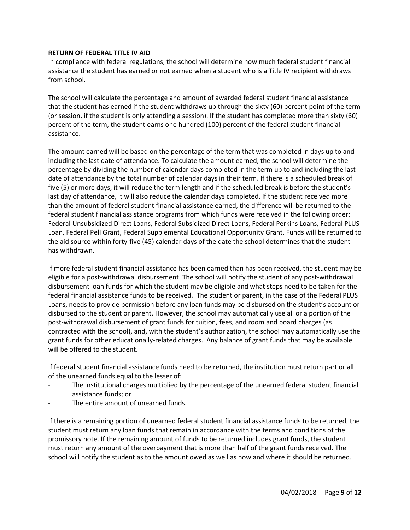#### **RETURN OF FEDERAL TITLE IV AID**

In compliance with federal regulations, the school will determine how much federal student financial assistance the student has earned or not earned when a student who is a Title IV recipient withdraws from school.

The school will calculate the percentage and amount of awarded federal student financial assistance that the student has earned if the student withdraws up through the sixty (60) percent point of the term (or session, if the student is only attending a session). If the student has completed more than sixty (60) percent of the term, the student earns one hundred (100) percent of the federal student financial assistance.

The amount earned will be based on the percentage of the term that was completed in days up to and including the last date of attendance. To calculate the amount earned, the school will determine the percentage by dividing the number of calendar days completed in the term up to and including the last date of attendance by the total number of calendar days in their term. If there is a scheduled break of five (5) or more days, it will reduce the term length and if the scheduled break is before the student's last day of attendance, it will also reduce the calendar days completed. If the student received more than the amount of federal student financial assistance earned, the difference will be returned to the federal student financial assistance programs from which funds were received in the following order: Federal Unsubsidized Direct Loans, Federal Subsidized Direct Loans, Federal Perkins Loans, Federal PLUS Loan, Federal Pell Grant, Federal Supplemental Educational Opportunity Grant. Funds will be returned to the aid source within forty-five (45) calendar days of the date the school determines that the student has withdrawn.

If more federal student financial assistance has been earned than has been received, the student may be eligible for a post-withdrawal disbursement. The school will notify the student of any post-withdrawal disbursement loan funds for which the student may be eligible and what steps need to be taken for the federal financial assistance funds to be received. The student or parent, in the case of the Federal PLUS Loans, needs to provide permission before any loan funds may be disbursed on the student's account or disbursed to the student or parent. However, the school may automatically use all or a portion of the post-withdrawal disbursement of grant funds for tuition, fees, and room and board charges (as contracted with the school), and, with the student's authorization, the school may automatically use the grant funds for other educationally-related charges. Any balance of grant funds that may be available will be offered to the student.

If federal student financial assistance funds need to be returned, the institution must return part or all of the unearned funds equal to the lesser of:

- The institutional charges multiplied by the percentage of the unearned federal student financial assistance funds; or
- The entire amount of unearned funds.

If there is a remaining portion of unearned federal student financial assistance funds to be returned, the student must return any loan funds that remain in accordance with the terms and conditions of the promissory note. If the remaining amount of funds to be returned includes grant funds, the student must return any amount of the overpayment that is more than half of the grant funds received. The school will notify the student as to the amount owed as well as how and where it should be returned.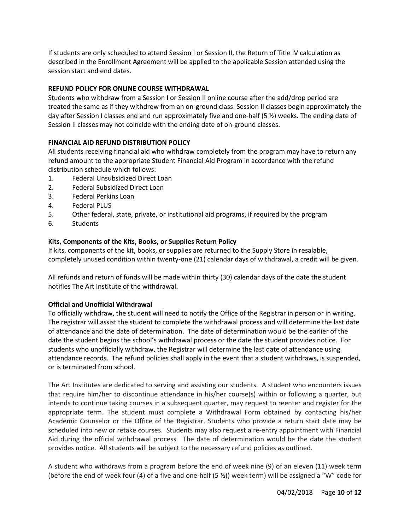If students are only scheduled to attend Session I or Session II, the Return of Title IV calculation as described in the Enrollment Agreement will be applied to the applicable Session attended using the session start and end dates.

# **REFUND POLICY FOR ONLINE COURSE WITHDRAWAL**

Students who withdraw from a Session I or Session II online course after the add/drop period are treated the same as if they withdrew from an on-ground class. Session II classes begin approximately the day after Session I classes end and run approximately five and one-half (5 ½) weeks. The ending date of Session II classes may not coincide with the ending date of on-ground classes.

# **FINANCIAL AID REFUND DISTRIBUTION POLICY**

All students receiving financial aid who withdraw completely from the program may have to return any refund amount to the appropriate Student Financial Aid Program in accordance with the refund distribution schedule which follows:

- 1. Federal Unsubsidized Direct Loan
- 2. Federal Subsidized Direct Loan
- 3. Federal Perkins Loan
- 4. Federal PLUS
- 5. Other federal, state, private, or institutional aid programs, if required by the program
- 6. Students

# **Kits, Components of the Kits, Books, or Supplies Return Policy**

If kits, components of the kit, books, or supplies are returned to the Supply Store in resalable, completely unused condition within twenty-one (21) calendar days of withdrawal, a credit will be given.

All refunds and return of funds will be made within thirty (30) calendar days of the date the student notifies The Art Institute of the withdrawal.

## **Official and Unofficial Withdrawal**

To officially withdraw, the student will need to notify the Office of the Registrar in person or in writing. The registrar will assist the student to complete the withdrawal process and will determine the last date of attendance and the date of determination. The date of determination would be the earlier of the date the student begins the school's withdrawal process or the date the student provides notice. For students who unofficially withdraw, the Registrar will determine the last date of attendance using attendance records. The refund policies shall apply in the event that a student withdraws, is suspended, or is terminated from school.

The Art Institutes are dedicated to serving and assisting our students. A student who encounters issues that require him/her to discontinue attendance in his/her course(s) within or following a quarter, but intends to continue taking courses in a subsequent quarter, may request to reenter and register for the appropriate term. The student must complete a Withdrawal Form obtained by contacting his/her Academic Counselor or the Office of the Registrar. Students who provide a return start date may be scheduled into new or retake courses. Students may also request a re-entry appointment with Financial Aid during the official withdrawal process. The date of determination would be the date the student provides notice. All students will be subject to the necessary refund policies as outlined.

A student who withdraws from a program before the end of week nine (9) of an eleven (11) week term (before the end of week four (4) of a five and one-half (5 ½)) week term) will be assigned a "W" code for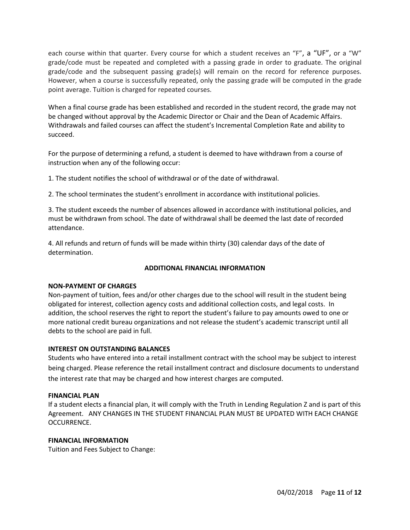each course within that quarter. Every course for which a student receives an "F", a "UF", or a "W" grade/code must be repeated and completed with a passing grade in order to graduate. The original grade/code and the subsequent passing grade(s) will remain on the record for reference purposes. However, when a course is successfully repeated, only the passing grade will be computed in the grade point average. Tuition is charged for repeated courses.

When a final course grade has been established and recorded in the student record, the grade may not be changed without approval by the Academic Director or Chair and the Dean of Academic Affairs. Withdrawals and failed courses can affect the student's Incremental Completion Rate and ability to succeed.

For the purpose of determining a refund, a student is deemed to have withdrawn from a course of instruction when any of the following occur:

1. The student notifies the school of withdrawal or of the date of withdrawal.

2. The school terminates the student's enrollment in accordance with institutional policies.

3. The student exceeds the number of absences allowed in accordance with institutional policies, and must be withdrawn from school. The date of withdrawal shall be deemed the last date of recorded attendance.

4. All refunds and return of funds will be made within thirty (30) calendar days of the date of determination.

#### **ADDITIONAL FINANCIAL INFORMATION**

#### **NON-PAYMENT OF CHARGES**

Non-payment of tuition, fees and/or other charges due to the school will result in the student being obligated for interest, collection agency costs and additional collection costs, and legal costs. In addition, the school reserves the right to report the student's failure to pay amounts owed to one or more national credit bureau organizations and not release the student's academic transcript until all debts to the school are paid in full.

#### **INTEREST ON OUTSTANDING BALANCES**

Students who have entered into a retail installment contract with the school may be subject to interest being charged. Please reference the retail installment contract and disclosure documents to understand the interest rate that may be charged and how interest charges are computed.

#### **FINANCIAL PLAN**

If a student elects a financial plan, it will comply with the Truth in Lending Regulation Z and is part of this Agreement. ANY CHANGES IN THE STUDENT FINANCIAL PLAN MUST BE UPDATED WITH EACH CHANGE OCCURRENCE.

#### **FINANCIAL INFORMATION**

Tuition and Fees Subject to Change: